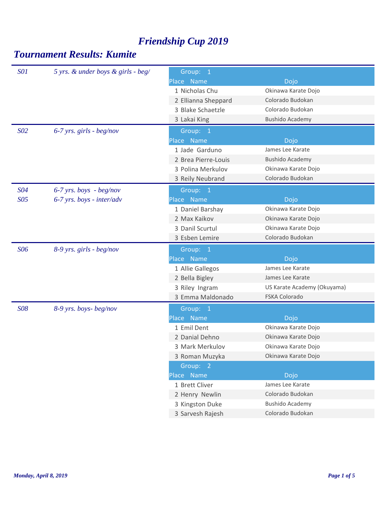| <b>SO1</b>      | 5 yrs. & under boys & girls - beg/ | Group: 1            |                             |
|-----------------|------------------------------------|---------------------|-----------------------------|
|                 |                                    | Place Name          | Dojo                        |
|                 |                                    | 1 Nicholas Chu      | Okinawa Karate Dojo         |
|                 |                                    | 2 Ellianna Sheppard | Colorado Budokan            |
|                 |                                    | 3 Blake Schaetzle   | Colorado Budokan            |
|                 |                                    | 3 Lakai King        | <b>Bushido Academy</b>      |
| S <sub>02</sub> | $6-7$ yrs. girls - beg/nov         | Group: 1            |                             |
|                 |                                    | Place Name          | Dojo                        |
|                 |                                    | 1 Jade Garduno      | James Lee Karate            |
|                 |                                    | 2 Brea Pierre-Louis | <b>Bushido Academy</b>      |
|                 |                                    | 3 Polina Merkulov   | Okinawa Karate Dojo         |
|                 |                                    | 3 Reily Neubrand    | Colorado Budokan            |
| S04             | $6-7$ yrs. boys - beg/nov          | Group: 1            |                             |
| S05             | $6-7$ yrs. boys - inter/adv        | Place Name          | Dojo                        |
|                 |                                    | 1 Daniel Barshay    | Okinawa Karate Dojo         |
|                 |                                    | 2 Max Kaikov        | Okinawa Karate Dojo         |
|                 |                                    | 3 Danil Scurtul     | Okinawa Karate Dojo         |
|                 |                                    | 3 Esben Lemire      | Colorado Budokan            |
| <b>S06</b>      | 8-9 yrs. girls - beg/nov           | Group: 1            |                             |
|                 |                                    | Place Name          | Dojo                        |
|                 |                                    | 1 Allie Gallegos    | James Lee Karate            |
|                 |                                    | 2 Bella Bigley      | James Lee Karate            |
|                 |                                    | 3 Riley Ingram      | US Karate Academy (Okuyama) |
|                 |                                    | 3 Emma Maldonado    | FSKA Colorado               |
| <b>SO8</b>      | 8-9 yrs. boys-beg/nov              | Group: 1            |                             |
|                 |                                    | Place Name          | Dojo                        |
|                 |                                    | 1 Emil Dent         | Okinawa Karate Dojo         |
|                 |                                    | 2 Danial Dehno      | Okinawa Karate Dojo         |
|                 |                                    | 3 Mark Merkulov     | Okinawa Karate Dojo         |
|                 |                                    | 3 Roman Muzyka      | Okinawa Karate Dojo         |
|                 |                                    | Group: 2            |                             |
|                 |                                    | Place Name          | Dojo                        |
|                 |                                    | 1 Brett Cliver      | James Lee Karate            |
|                 |                                    | 2 Henry Newlin      | Colorado Budokan            |
|                 |                                    | 3 Kingston Duke     | <b>Bushido Academy</b>      |
|                 |                                    | 3 Sarvesh Rajesh    | Colorado Budokan            |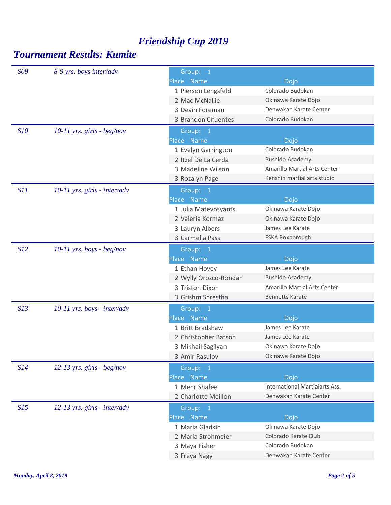| S <sub>09</sub> | 8-9 yrs. boys inter/adv        | Group: 1              |                                     |  |
|-----------------|--------------------------------|-----------------------|-------------------------------------|--|
|                 |                                | Place Name            | Dojo                                |  |
|                 |                                | 1 Pierson Lengsfeld   | Colorado Budokan                    |  |
|                 |                                | 2 Mac McNallie        | Okinawa Karate Dojo                 |  |
|                 |                                | 3 Devin Foreman       | Denwakan Karate Center              |  |
|                 |                                | 3 Brandon Cifuentes   | Colorado Budokan                    |  |
| <i>S10</i>      | $10-11$ yrs. girls - beg/nov   | Group: 1              |                                     |  |
|                 |                                | Place Name            | Dojo                                |  |
|                 |                                | 1 Evelyn Garrington   | Colorado Budokan                    |  |
|                 |                                | 2 Itzel De La Cerda   | <b>Bushido Academy</b>              |  |
|                 |                                | 3 Madeline Wilson     | <b>Amarillo Martial Arts Center</b> |  |
|                 |                                | 3 Rozalyn Page        | Kenshin martial arts studio         |  |
| S11             | $10-11$ yrs. girls - inter/adv | Group: 1              |                                     |  |
|                 |                                | Place Name            | Dojo                                |  |
|                 |                                | 1 Julia Matevosyants  | Okinawa Karate Dojo                 |  |
|                 |                                | 2 Valeria Kormaz      | Okinawa Karate Dojo                 |  |
|                 |                                | 3 Lauryn Albers       | James Lee Karate                    |  |
|                 |                                | 3 Carmella Pass       | FSKA Roxborough                     |  |
| S12             | $10-11$ yrs. boys - beg/nov    | Group: 1              |                                     |  |
|                 |                                | Place Name            | Dojo                                |  |
|                 |                                | 1 Ethan Hovey         | James Lee Karate                    |  |
|                 |                                | 2 Wylly Orozco-Rondan | <b>Bushido Academy</b>              |  |
|                 |                                | 3 Triston Dixon       | <b>Amarillo Martial Arts Center</b> |  |
|                 |                                | 3 Grishm Shrestha     | <b>Bennetts Karate</b>              |  |
| S13             | $10-11$ yrs. boys - inter/adv  | Group: 1              |                                     |  |
|                 |                                | Place Name            | Dojo                                |  |
|                 |                                | 1 Britt Bradshaw      | James Lee Karate                    |  |
|                 |                                | 2 Christopher Batson  | James Lee Karate                    |  |
|                 |                                | 3 Mikhail Sagilyan    | Okinawa Karate Dojo                 |  |
|                 |                                | 3 Amir Rasulov        | Okinawa Karate Dojo                 |  |
| S14             | $12-13$ yrs. girls - beg/nov   | Group: 1              |                                     |  |
|                 |                                | Place Name            | Dojo                                |  |
|                 |                                | 1 Mehr Shafee         | International Martialarts Ass.      |  |
|                 |                                | 2 Charlotte Meillon   | Denwakan Karate Center              |  |
| S15             | 12-13 yrs. girls - inter/adv   | Group: 1              |                                     |  |
|                 |                                | Place Name            | Dojo                                |  |
|                 |                                | 1 Maria Gladkih       | Okinawa Karate Dojo                 |  |
|                 |                                | 2 Maria Strohmeier    | Colorado Karate Club                |  |
|                 |                                | 3 Maya Fisher         | Colorado Budokan                    |  |
|                 |                                | 3 Freya Nagy          | Denwakan Karate Center              |  |
|                 |                                |                       |                                     |  |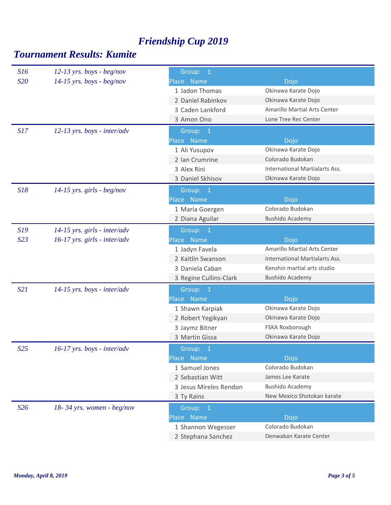| S16             | $12-13$ yrs. boys - beg/nov    | Group: 1               |                                |
|-----------------|--------------------------------|------------------------|--------------------------------|
| S <sub>20</sub> | $14-15$ yrs. boys - beg/nov    | Place Name             | Dojo                           |
|                 |                                | 1 Jadon Thomas         | Okinawa Karate Dojo            |
|                 |                                | 2 Daniel Rabinkov      | Okinawa Karate Dojo            |
|                 |                                | 3 Caden Lankford       | Amarillo Martial Arts Center   |
|                 |                                | 3 Amon Ono             | Lone Tree Rec Center           |
| S17             | $12-13$ yrs. boys - inter/adv  | Group: 1               |                                |
|                 |                                | Place Name             | Dojo                           |
|                 |                                | 1 Ali Yusupov          | Okinawa Karate Dojo            |
|                 |                                | 2 Ian Crumrine         | Colorado Budokan               |
|                 |                                | 3 Alex Rini            | International Martialarts Ass. |
|                 |                                | 3 Daniel Skhisov       | Okinawa Karate Dojo            |
| S18             | 14-15 yrs. girls - beg/nov     | Group: 1               |                                |
|                 |                                | Place Name             | Dojo                           |
|                 |                                | 1 Maria Goergen        | Colorado Budokan               |
|                 |                                | 2 Diana Aguilar        | <b>Bushido Academy</b>         |
| S19             | $14-15$ yrs. girls - inter/adv | Group: 1               |                                |
| S23             | $16-17$ yrs. girls - inter/adv | Place Name             | Dojo                           |
|                 |                                | 1 Jadyn Favela         | Amarillo Martial Arts Center   |
|                 |                                | 2 Kaitlin Swanson      | International Martialarts Ass. |
|                 |                                | 3 Daniela Caban        | Kenshin martial arts studio    |
|                 |                                | 3 Regine Cullins-Clark | <b>Bushido Academy</b>         |
|                 |                                |                        |                                |
| S21             | $14-15$ yrs. boys - inter/adv  | Group: 1               |                                |
|                 |                                | Place Name             | Dojo                           |
|                 |                                | 1 Shawn Karpiak        | Okinawa Karate Dojo            |
|                 |                                | 2 Robert Yegikyan      | Okinawa Karate Dojo            |
|                 |                                | 3 Jaymz Bitner         | FSKA Roxborough                |
|                 |                                | 3 Martin Gissa         | Okinawa Karate Dojo            |
| S <sub>25</sub> | $16-17$ yrs. boys - inter/adv  | Group: 1               |                                |
|                 |                                | Place Name             | Dojo                           |
|                 |                                | 1 Samuel Jones         | Colorado Budokan               |
|                 |                                | 2 Sebastian Witt       | James Lee Karate               |
|                 |                                | 3 Jesus Mireles Rendon | <b>Bushido Academy</b>         |
|                 |                                | 3 Ty Rains             | New Mexico Shotokan karate     |
| S26             | $18 - 34$ yrs. women - beg/nov | Group: 1               |                                |
|                 |                                | Place Name             | Dojo                           |
|                 |                                | 1 Shannon Wegesser     | Colorado Budokan               |
|                 |                                | 2 Stephana Sanchez     | Denwakan Karate Center         |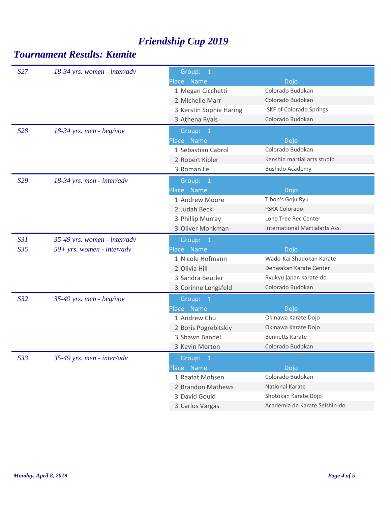| S27             | 18-34 yrs. women - inter/adv | Group: 1                |                                       |  |
|-----------------|------------------------------|-------------------------|---------------------------------------|--|
|                 |                              | Place Name              | Dojo                                  |  |
|                 |                              | 1 Megan Cicchetti       | Colorado Budokan                      |  |
|                 |                              | 2 Michelle Marr         | Colorado Budokan                      |  |
|                 |                              | 3 Kerstin Sophie Haring | <b>ISKF of Colorado Springs</b>       |  |
|                 |                              | 3 Athena Ryals          | Colorado Budokan                      |  |
| S28             | $18-34$ yrs. men - beg/nov   | Group: 1                |                                       |  |
|                 |                              | Place Name              | Dojo                                  |  |
|                 |                              | 1 Sebastian Cabrol      | Colorado Budokan                      |  |
|                 |                              | 2 Robert Kibler         | Kenshin martial arts studio           |  |
|                 |                              | 3 Roman Le              | <b>Bushido Academy</b>                |  |
| S29             | 18-34 yrs. men - inter/adv   | Group: 1                |                                       |  |
|                 |                              | Place Name              | Dojo                                  |  |
|                 |                              | 1 Andrew Moore          | Tibon's Goju Ryu                      |  |
|                 |                              | 2 Judah Beck            | <b>FSKA Colorado</b>                  |  |
|                 |                              | 3 Phillip Murray        | Lone Tree Rec Center                  |  |
|                 |                              | 3 Oliver Monkman        | <b>International Martialarts Ass.</b> |  |
| S31             | 35-49 yrs. women - inter/adv | Group: 1                |                                       |  |
| S <sub>35</sub> | $50+ yrs.$ women - inter/adv | Place Name              | Dojo                                  |  |
|                 |                              | 1 Nicole Hofmann        | Wado-Kai Shudokan Karate              |  |
|                 |                              | 2 Olivia Hill           | Denwakan Karate Center                |  |
|                 |                              | 3 Sandra Beutler        | Ryukyu japan karate-do                |  |
|                 |                              | 3 Corinne Lengsfeld     | Colorado Budokan                      |  |
| S <sub>32</sub> | 35-49 yrs. men - $beg/nov$   | Group: 1                |                                       |  |
|                 |                              | Place Name              | Dojo                                  |  |
|                 |                              | 1 Andrew Chu            | Okinawa Karate Dojo                   |  |
|                 |                              | 2 Boris Pogrebitskiy    | Okinawa Karate Dojo                   |  |
|                 |                              | 3 Shawn Bandel          | <b>Bennetts Karate</b>                |  |
|                 |                              | 3 Kevin Morton          | Colorado Budokan                      |  |
| S33             | 35-49 yrs. men - inter/adv   | Group: 1                |                                       |  |
|                 |                              | Place Name              | Dojo                                  |  |
|                 |                              | 1 Raafat Mohsen         | Colorado Budokan                      |  |
|                 |                              | 2 Brandon Mathews       | National Karate                       |  |
|                 |                              | 3 David Gould           | Shotokan Karate Dojo                  |  |
|                 |                              | 3 Carlos Vargas         | Academia de Karate Seishin-do         |  |
|                 |                              |                         |                                       |  |